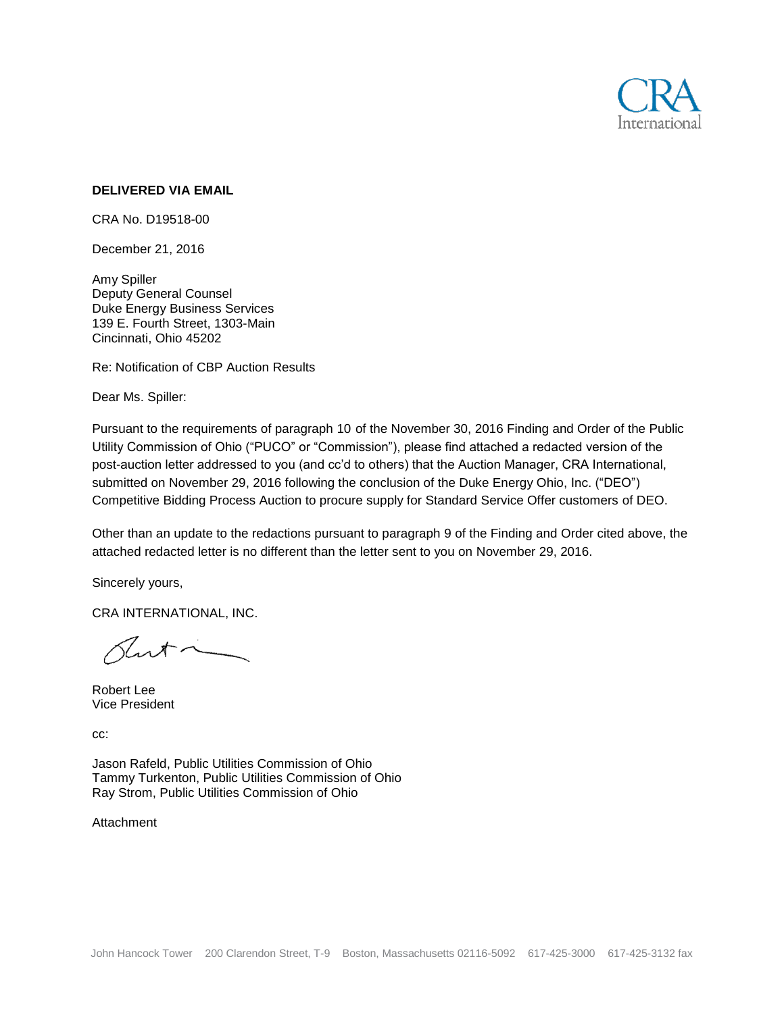

### **DELIVERED VIA EMAIL**

CRA No. D19518-00

December 21, 2016

Amy Spiller Deputy General Counsel Duke Energy Business Services 139 E. Fourth Street, 1303-Main Cincinnati, Ohio 45202

Re: Notification of CBP Auction Results

Dear Ms. Spiller:

Pursuant to the requirements of paragraph 10 of the November 30, 2016 Finding and Order of the Public Utility Commission of Ohio ("PUCO" or "Commission"), please find attached a redacted version of the post-auction letter addressed to you (and cc'd to others) that the Auction Manager, CRA International, submitted on November 29, 2016 following the conclusion of the Duke Energy Ohio, Inc. ("DEO") Competitive Bidding Process Auction to procure supply for Standard Service Offer customers of DEO.

Other than an update to the redactions pursuant to paragraph 9 of the Finding and Order cited above, the attached redacted letter is no different than the letter sent to you on November 29, 2016.

Sincerely yours,

CRA INTERNATIONAL, INC.

art

Robert Lee Vice President

cc:

Jason Rafeld, Public Utilities Commission of Ohio Tammy Turkenton, Public Utilities Commission of Ohio Ray Strom, Public Utilities Commission of Ohio

Attachment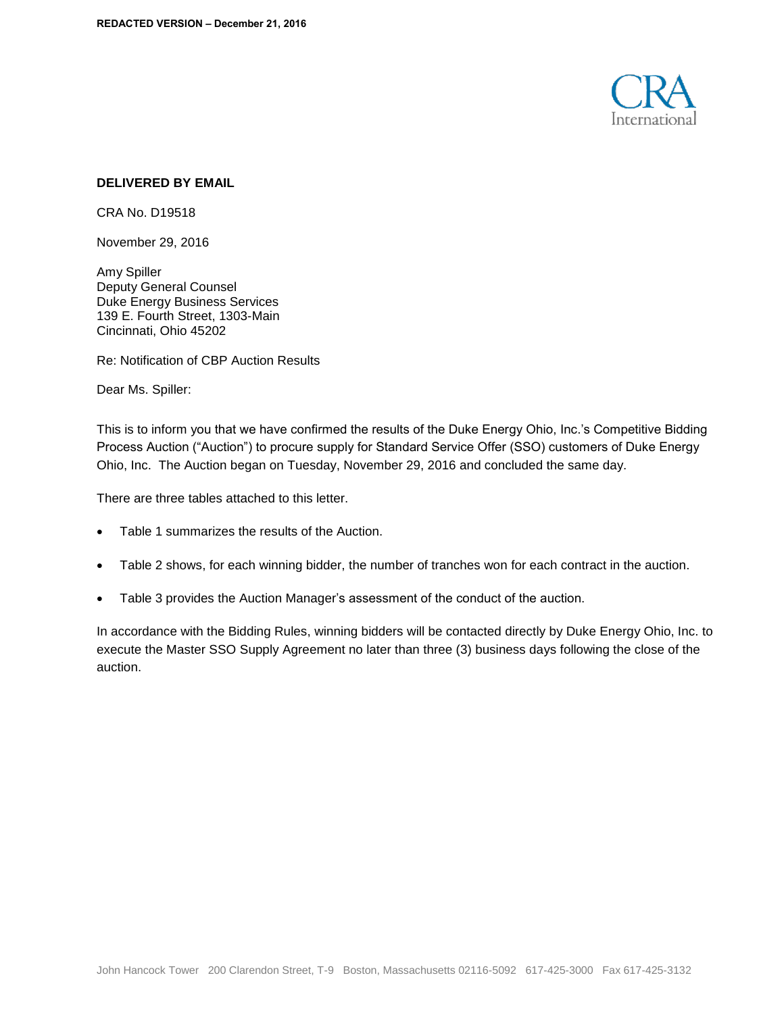

### **DELIVERED BY EMAIL**

CRA No. D19518

November 29, 2016

Amy Spiller Deputy General Counsel Duke Energy Business Services 139 E. Fourth Street, 1303-Main Cincinnati, Ohio 45202

Re: Notification of CBP Auction Results

Dear Ms. Spiller:

This is to inform you that we have confirmed the results of the Duke Energy Ohio, Inc.'s Competitive Bidding Process Auction ("Auction") to procure supply for Standard Service Offer (SSO) customers of Duke Energy Ohio, Inc. The Auction began on Tuesday, November 29, 2016 and concluded the same day.

There are three tables attached to this letter.

- Table 1 summarizes the results of the Auction.
- Table 2 shows, for each winning bidder, the number of tranches won for each contract in the auction.
- Table 3 provides the Auction Manager's assessment of the conduct of the auction.

In accordance with the Bidding Rules, winning bidders will be contacted directly by Duke Energy Ohio, Inc. to execute the Master SSO Supply Agreement no later than three (3) business days following the close of the auction.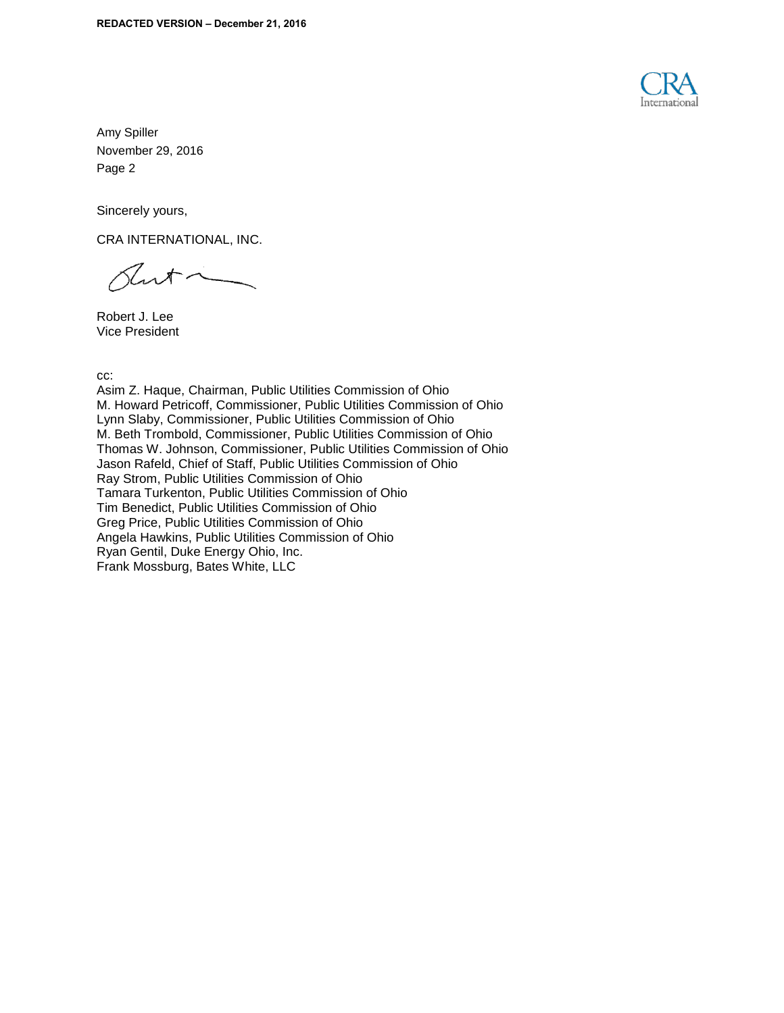

Sincerely yours,

CRA INTERNATIONAL, INC.

 $\sqrt{2}$ 

Robert J. Lee Vice President

cc:

Asim Z. Haque, Chairman, Public Utilities Commission of Ohio M. Howard Petricoff, Commissioner, Public Utilities Commission of Ohio Lynn Slaby, Commissioner, Public Utilities Commission of Ohio M. Beth Trombold, Commissioner, Public Utilities Commission of Ohio Thomas W. Johnson, Commissioner, Public Utilities Commission of Ohio Jason Rafeld, Chief of Staff, Public Utilities Commission of Ohio Ray Strom, Public Utilities Commission of Ohio Tamara Turkenton, Public Utilities Commission of Ohio Tim Benedict, Public Utilities Commission of Ohio Greg Price, Public Utilities Commission of Ohio Angela Hawkins, Public Utilities Commission of Ohio Ryan Gentil, Duke Energy Ohio, Inc. Frank Mossburg, Bates White, LLC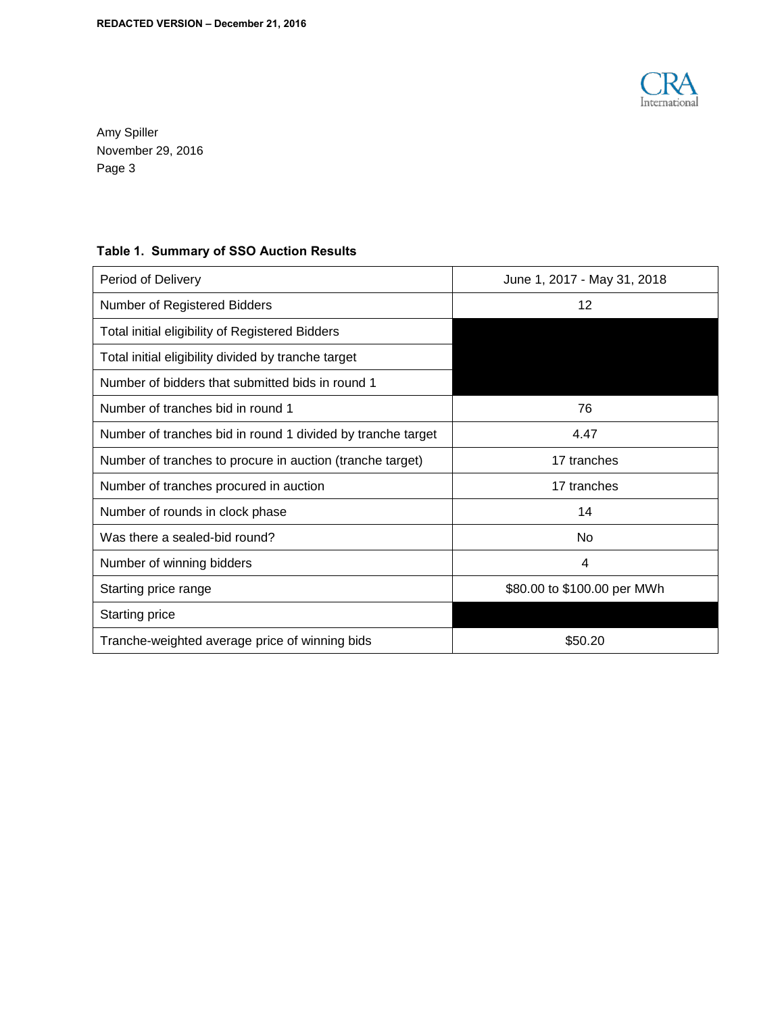

# **Table 1. Summary of SSO Auction Results**

| Period of Delivery                                          | June 1, 2017 - May 31, 2018 |
|-------------------------------------------------------------|-----------------------------|
| Number of Registered Bidders                                | 12                          |
| Total initial eligibility of Registered Bidders             |                             |
| Total initial eligibility divided by tranche target         |                             |
| Number of bidders that submitted bids in round 1            |                             |
| Number of tranches bid in round 1                           | 76                          |
| Number of tranches bid in round 1 divided by tranche target | 4.47                        |
| Number of tranches to procure in auction (tranche target)   | 17 tranches                 |
| Number of tranches procured in auction                      | 17 tranches                 |
| Number of rounds in clock phase                             | 14                          |
| Was there a sealed-bid round?                               | No                          |
| Number of winning bidders                                   | 4                           |
| Starting price range                                        | \$80.00 to \$100.00 per MWh |
| Starting price                                              |                             |
| Tranche-weighted average price of winning bids              | \$50.20                     |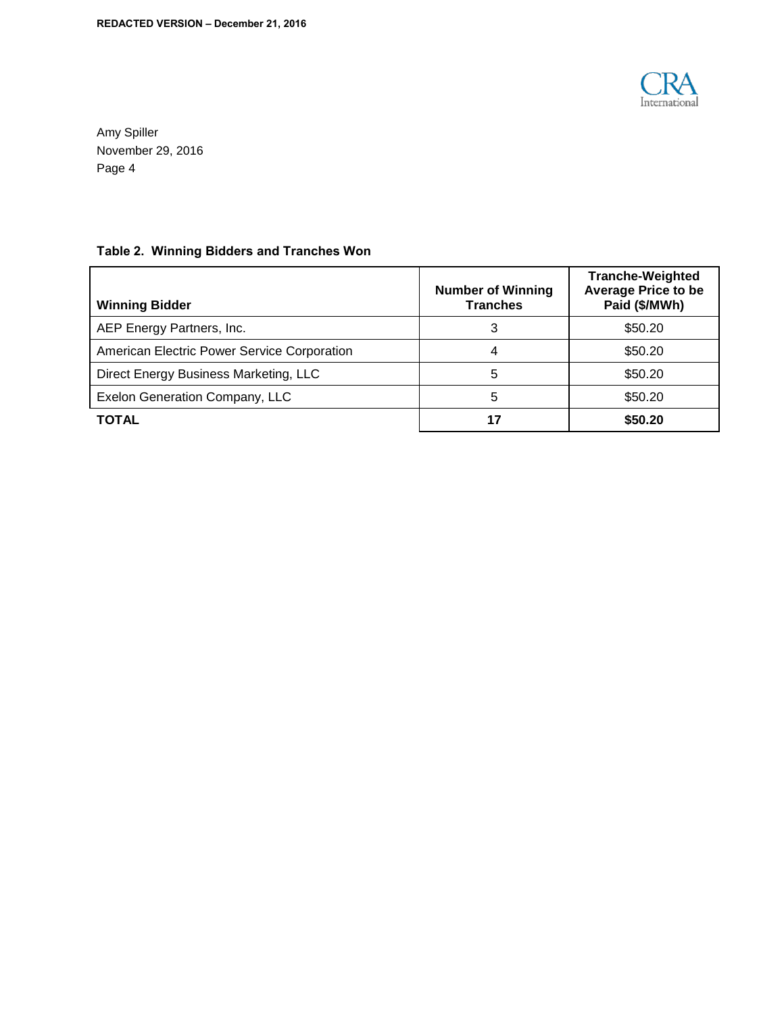

# **Table 2. Winning Bidders and Tranches Won**

| <b>Winning Bidder</b>                       | <b>Number of Winning</b><br><b>Tranches</b> | <b>Tranche-Weighted</b><br><b>Average Price to be</b><br>Paid (\$/MWh) |
|---------------------------------------------|---------------------------------------------|------------------------------------------------------------------------|
| AEP Energy Partners, Inc.                   | 3                                           | \$50.20                                                                |
| American Electric Power Service Corporation | 4                                           | \$50.20                                                                |
| Direct Energy Business Marketing, LLC       | 5                                           | \$50.20                                                                |
| Exelon Generation Company, LLC              | 5                                           | \$50.20                                                                |
| TOTAL                                       | 17                                          | \$50.20                                                                |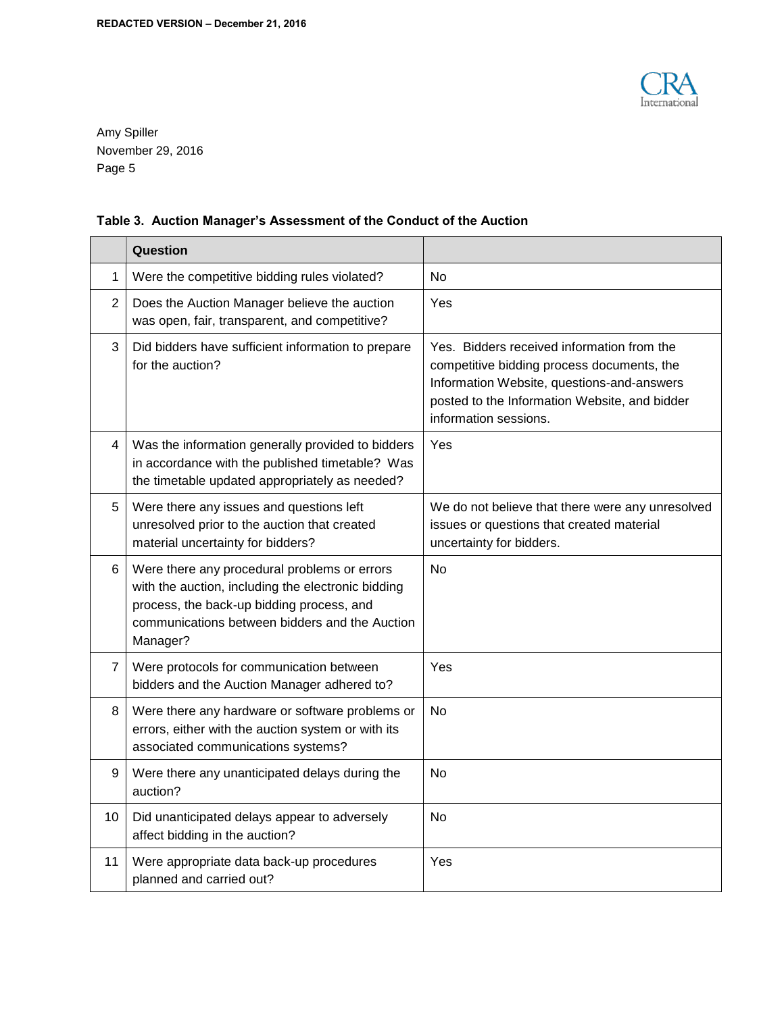

# **Table 3. Auction Manager's Assessment of the Conduct of the Auction**

|                | Question                                                                                                                                                                                                      |                                                                                                                                                                                                                  |
|----------------|---------------------------------------------------------------------------------------------------------------------------------------------------------------------------------------------------------------|------------------------------------------------------------------------------------------------------------------------------------------------------------------------------------------------------------------|
| 1              | Were the competitive bidding rules violated?                                                                                                                                                                  | No                                                                                                                                                                                                               |
| $\overline{2}$ | Does the Auction Manager believe the auction<br>was open, fair, transparent, and competitive?                                                                                                                 | Yes                                                                                                                                                                                                              |
| 3              | Did bidders have sufficient information to prepare<br>for the auction?                                                                                                                                        | Yes. Bidders received information from the<br>competitive bidding process documents, the<br>Information Website, questions-and-answers<br>posted to the Information Website, and bidder<br>information sessions. |
| 4              | Was the information generally provided to bidders<br>in accordance with the published timetable? Was<br>the timetable updated appropriately as needed?                                                        | Yes                                                                                                                                                                                                              |
| 5              | Were there any issues and questions left<br>unresolved prior to the auction that created<br>material uncertainty for bidders?                                                                                 | We do not believe that there were any unresolved<br>issues or questions that created material<br>uncertainty for bidders.                                                                                        |
| 6              | Were there any procedural problems or errors<br>with the auction, including the electronic bidding<br>process, the back-up bidding process, and<br>communications between bidders and the Auction<br>Manager? | No.                                                                                                                                                                                                              |
| 7              | Were protocols for communication between<br>bidders and the Auction Manager adhered to?                                                                                                                       | Yes                                                                                                                                                                                                              |
| 8              | Were there any hardware or software problems or<br>errors, either with the auction system or with its<br>associated communications systems?                                                                   | N <sub>o</sub>                                                                                                                                                                                                   |
| 9              | Were there any unanticipated delays during the<br>auction?                                                                                                                                                    | No                                                                                                                                                                                                               |
| 10             | Did unanticipated delays appear to adversely<br>affect bidding in the auction?                                                                                                                                | No                                                                                                                                                                                                               |
| 11             | Were appropriate data back-up procedures<br>planned and carried out?                                                                                                                                          | Yes                                                                                                                                                                                                              |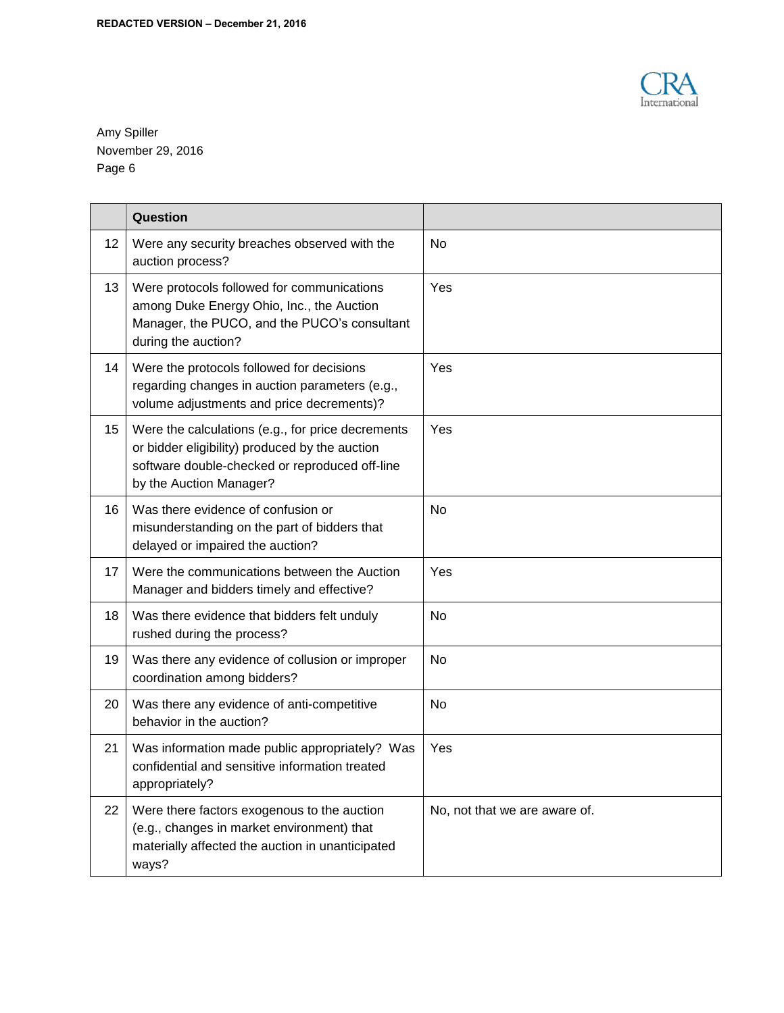

|    | Question                                                                                                                                                                         |                               |
|----|----------------------------------------------------------------------------------------------------------------------------------------------------------------------------------|-------------------------------|
| 12 | Were any security breaches observed with the<br>auction process?                                                                                                                 | No                            |
| 13 | Were protocols followed for communications<br>among Duke Energy Ohio, Inc., the Auction<br>Manager, the PUCO, and the PUCO's consultant<br>during the auction?                   | Yes                           |
| 14 | Were the protocols followed for decisions<br>regarding changes in auction parameters (e.g.,<br>volume adjustments and price decrements)?                                         | Yes                           |
| 15 | Were the calculations (e.g., for price decrements<br>or bidder eligibility) produced by the auction<br>software double-checked or reproduced off-line<br>by the Auction Manager? | Yes                           |
| 16 | Was there evidence of confusion or<br>misunderstanding on the part of bidders that<br>delayed or impaired the auction?                                                           | No                            |
| 17 | Were the communications between the Auction<br>Manager and bidders timely and effective?                                                                                         | Yes                           |
| 18 | Was there evidence that bidders felt unduly<br>rushed during the process?                                                                                                        | <b>No</b>                     |
| 19 | Was there any evidence of collusion or improper<br>coordination among bidders?                                                                                                   | <b>No</b>                     |
| 20 | Was there any evidence of anti-competitive<br>behavior in the auction?                                                                                                           | No                            |
| 21 | Was information made public appropriately? Was<br>confidential and sensitive information treated<br>appropriately?                                                               | Yes                           |
| 22 | Were there factors exogenous to the auction<br>(e.g., changes in market environment) that<br>materially affected the auction in unanticipated<br>ways?                           | No, not that we are aware of. |